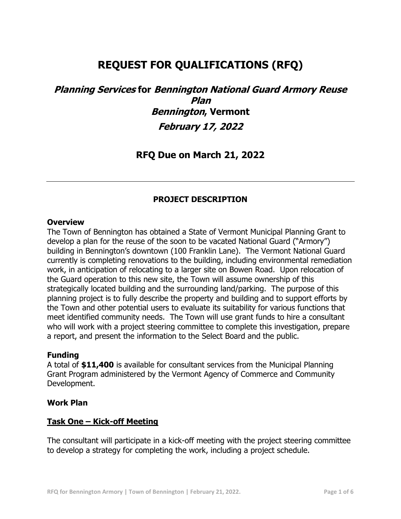# **REQUEST FOR QUALIFICATIONS (RFQ)**

# **Planning Services for Bennington National Guard Armory Reuse Plan Bennington, Vermont February 17, 2022**

## **RFQ Due on March 21, 2022**

## **PROJECT DESCRIPTION**

#### **Overview**

The Town of Bennington has obtained a State of Vermont Municipal Planning Grant to develop a plan for the reuse of the soon to be vacated National Guard ("Armory") building in Bennington's downtown (100 Franklin Lane). The Vermont National Guard currently is completing renovations to the building, including environmental remediation work, in anticipation of relocating to a larger site on Bowen Road. Upon relocation of the Guard operation to this new site, the Town will assume ownership of this strategically located building and the surrounding land/parking. The purpose of this planning project is to fully describe the property and building and to support efforts by the Town and other potential users to evaluate its suitability for various functions that meet identified community needs. The Town will use grant funds to hire a consultant who will work with a project steering committee to complete this investigation, prepare a report, and present the information to the Select Board and the public.

#### **Funding**

A total of **\$11,400** is available for consultant services from the Municipal Planning Grant Program administered by the Vermont Agency of Commerce and Community Development.

#### **Work Plan**

#### **Task One – Kick-off Meeting**

The consultant will participate in a kick-off meeting with the project steering committee to develop a strategy for completing the work, including a project schedule.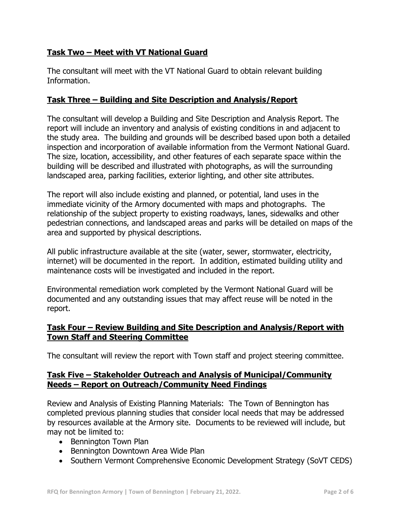## **Task Two – Meet with VT National Guard**

The consultant will meet with the VT National Guard to obtain relevant building Information.

## **Task Three – Building and Site Description and Analysis/Report**

The consultant will develop a Building and Site Description and Analysis Report. The report will include an inventory and analysis of existing conditions in and adjacent to the study area. The building and grounds will be described based upon both a detailed inspection and incorporation of available information from the Vermont National Guard. The size, location, accessibility, and other features of each separate space within the building will be described and illustrated with photographs, as will the surrounding landscaped area, parking facilities, exterior lighting, and other site attributes.

The report will also include existing and planned, or potential, land uses in the immediate vicinity of the Armory documented with maps and photographs. The relationship of the subject property to existing roadways, lanes, sidewalks and other pedestrian connections, and landscaped areas and parks will be detailed on maps of the area and supported by physical descriptions.

All public infrastructure available at the site (water, sewer, stormwater, electricity, internet) will be documented in the report. In addition, estimated building utility and maintenance costs will be investigated and included in the report.

Environmental remediation work completed by the Vermont National Guard will be documented and any outstanding issues that may affect reuse will be noted in the report.

## **Task Four – Review Building and Site Description and Analysis/Report with Town Staff and Steering Committee**

The consultant will review the report with Town staff and project steering committee.

## **Task Five – Stakeholder Outreach and Analysis of Municipal/Community Needs – Report on Outreach/Community Need Findings**

Review and Analysis of Existing Planning Materials: The Town of Bennington has completed previous planning studies that consider local needs that may be addressed by resources available at the Armory site. Documents to be reviewed will include, but may not be limited to:

- Bennington Town Plan
- Bennington Downtown Area Wide Plan
- Southern Vermont Comprehensive Economic Development Strategy (SoVT CEDS)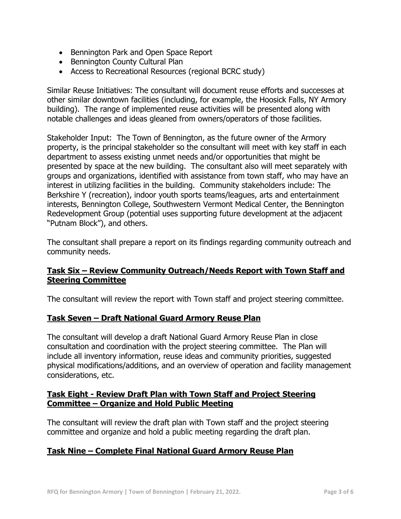- Bennington Park and Open Space Report
- Bennington County Cultural Plan
- Access to Recreational Resources (regional BCRC study)

Similar Reuse Initiatives: The consultant will document reuse efforts and successes at other similar downtown facilities (including, for example, the Hoosick Falls, NY Armory building). The range of implemented reuse activities will be presented along with notable challenges and ideas gleaned from owners/operators of those facilities.

Stakeholder Input: The Town of Bennington, as the future owner of the Armory property, is the principal stakeholder so the consultant will meet with key staff in each department to assess existing unmet needs and/or opportunities that might be presented by space at the new building. The consultant also will meet separately with groups and organizations, identified with assistance from town staff, who may have an interest in utilizing facilities in the building. Community stakeholders include: The Berkshire Y (recreation), indoor youth sports teams/leagues, arts and entertainment interests, Bennington College, Southwestern Vermont Medical Center, the Bennington Redevelopment Group (potential uses supporting future development at the adjacent "Putnam Block"), and others.

The consultant shall prepare a report on its findings regarding community outreach and community needs.

## **Task Six – Review Community Outreach/Needs Report with Town Staff and Steering Committee**

The consultant will review the report with Town staff and project steering committee.

### **Task Seven – Draft National Guard Armory Reuse Plan**

The consultant will develop a draft National Guard Armory Reuse Plan in close consultation and coordination with the project steering committee. The Plan will include all inventory information, reuse ideas and community priorities, suggested physical modifications/additions, and an overview of operation and facility management considerations, etc.

## **Task Eight - Review Draft Plan with Town Staff and Project Steering Committee – Organize and Hold Public Meeting**

The consultant will review the draft plan with Town staff and the project steering committee and organize and hold a public meeting regarding the draft plan.

### **Task Nine – Complete Final National Guard Armory Reuse Plan**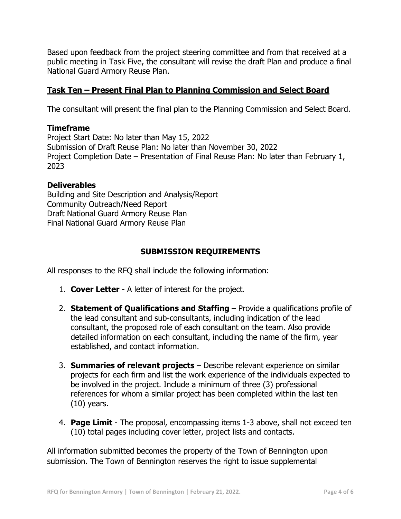Based upon feedback from the project steering committee and from that received at a public meeting in Task Five, the consultant will revise the draft Plan and produce a final National Guard Armory Reuse Plan.

## **Task Ten – Present Final Plan to Planning Commission and Select Board**

The consultant will present the final plan to the Planning Commission and Select Board.

### **Timeframe**

Project Start Date: No later than May 15, 2022 Submission of Draft Reuse Plan: No later than November 30, 2022 Project Completion Date – Presentation of Final Reuse Plan: No later than February 1, 2023

## **Deliverables**

Building and Site Description and Analysis/Report Community Outreach/Need Report Draft National Guard Armory Reuse Plan Final National Guard Armory Reuse Plan

## **SUBMISSION REQUIREMENTS**

All responses to the RFQ shall include the following information:

- 1. **Cover Letter** A letter of interest for the project.
- 2. **Statement of Qualifications and Staffing** Provide a qualifications profile of the lead consultant and sub-consultants, including indication of the lead consultant, the proposed role of each consultant on the team. Also provide detailed information on each consultant, including the name of the firm, year established, and contact information.
- 3. **Summaries of relevant projects** Describe relevant experience on similar projects for each firm and list the work experience of the individuals expected to be involved in the project. Include a minimum of three (3) professional references for whom a similar project has been completed within the last ten (10) years.
- 4. **Page Limit**  The proposal, encompassing items 1-3 above, shall not exceed ten (10) total pages including cover letter, project lists and contacts.

All information submitted becomes the property of the Town of Bennington upon submission. The Town of Bennington reserves the right to issue supplemental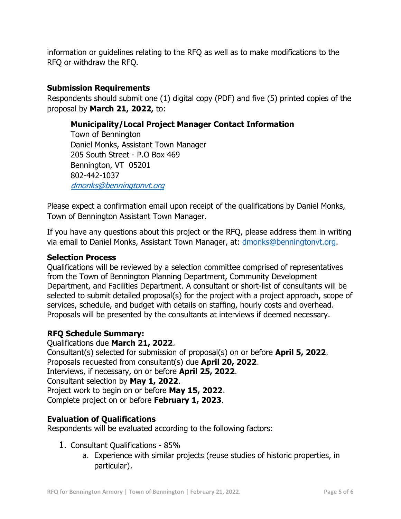information or guidelines relating to the RFQ as well as to make modifications to the RFQ or withdraw the RFQ.

## **Submission Requirements**

Respondents should submit one (1) digital copy (PDF) and five (5) printed copies of the proposal by **March 21, 2022,** to:

## **Municipality/Local Project Manager Contact Information**

Town of Bennington Daniel Monks, Assistant Town Manager 205 South Street - P.O Box 469 Bennington, VT 05201 802-442-1037 [dmonks@benningtonvt.org](mailto:dmonks@benningtonvt.org)

Please expect a confirmation email upon receipt of the qualifications by Daniel Monks, Town of Bennington Assistant Town Manager.

If you have any questions about this project or the RFQ, please address them in writing via email to Daniel Monks, Assistant Town Manager, at: [dmonks@benningtonvt.org.](mailto:dmonks@benningtonvt.org)

## **Selection Process**

Qualifications will be reviewed by a selection committee comprised of representatives from the Town of Bennington Planning Department, Community Development Department, and Facilities Department. A consultant or short-list of consultants will be selected to submit detailed proposal(s) for the project with a project approach, scope of services, schedule, and budget with details on staffing, hourly costs and overhead. Proposals will be presented by the consultants at interviews if deemed necessary.

## **RFQ Schedule Summary:**

Qualifications due **March 21, 2022**. Consultant(s) selected for submission of proposal(s) on or before **April 5, 2022**. Proposals requested from consultant(s) due **April 20, 2022**. Interviews, if necessary, on or before **April 25, 2022**. Consultant selection by **May 1, 2022**. Project work to begin on or before **May 15, 2022**. Complete project on or before **February 1, 2023**.

## **Evaluation of Qualifications**

Respondents will be evaluated according to the following factors:

- 1. Consultant Qualifications 85%
	- a. Experience with similar projects (reuse studies of historic properties, in particular).